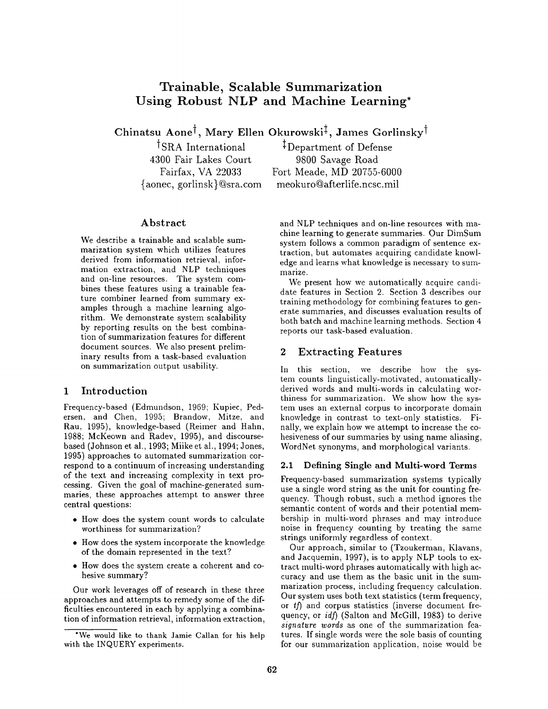# **Trainable, Scalable Summarization Using Robust NLP and Machine Learning\***

Chinatsu Aone<sup>†</sup>, Mary Ellen Okurowski<sup>‡</sup>, James Gorlinsky<sup>†</sup>

4300 Fair Lakes Court 9800 Savage Road

<sup>†</sup>SRA International <sup>‡</sup>Department of Defense Fairfax, VA 22033 Fort Meade, MD 20755-6000 {aonec, gorlinsk}@sra.com meokuro@afterlife.ncsc.mil

# Abstract

We describe a trainable and scalable summarization system which utilizes features derived from information retrieval, information extraction, and NLP techniques and on-line resources. The system combines these features using a trainable feature combiner learned from summary examples through a machine learning algorithm. We demonstrate system scalability by reporting results on the best combination of summarization features for different document sources. We also present preliminary results from a task-based evaluation on summarization output usability.

# 1 Introduction

Frequency-based (Edmundson, 1969; Kupiec, Pedersen, and Chen, 1995; Brandow, Mitze, and Rau, 1995), knowledge-based (Reimer and Hahn, 1988; McKeown and Radev, 1995), and discoursebased (Johnson et al., 1993; Miike et al., 1994; Jones, 1995) approaches to automated summarization correspond to a continuum of increasing understanding of the text and increasing complexity in text processing. Given the goal of machine-generated summaries, these approaches attempt to answer three central questions:

- How does the system count words to calculate worthiness for summarization?
- How does the system incorporate the knowledge of the domain represented in the text?
- How does the system create a coherent and cohesive summary?

Our work leverages off of research in these three approaches and attempts to remedy some of the difficulties encountered in each by applying a combination of information retrieval, information extraction,

and NLP techniques and on-line resources with machine learning to generate summaries. Our DimSum system follows a common paradigm of sentence extraction, but automates acquiring candidate knowledge and learns what knowledge is necessary to summarize.

We present how we automatically acquire candidate features in Section 2. Section 3 describes our training methodology for combining features to generate summaries, and discusses evaluation results of both batch and machine learning methods. Section 4 reports our task-based evaluation.

# 2 Extracting Features

In this section, we describe how the system counts linguistically-motivated, automaticallyderived words and multi-words in calculating worthiness for summarization. We show how the system uses an external corpus to incorporate domain knowledge in contrast to text-only statistics. Finally, we explain how we attempt to increase the cohesiveness of our summaries by using name aliasing, WordNet synonyms, and morphological variants.

# **2.1 Defining Single and Multi-word** Terms

Frequency-based summarization systems typically use a single word string as the unit for counting frequency. Though robust, such a method ignores the semantic content of words and their potential membership in multi-word phrases and may introduce noise in frequency counting by treating the same strings uniformly regardless of context.

Our approach, similar to (Tzoukerman, Klavans, and Jacquemin, 1997), is to apply NLP tools to extract multi-word phrases automatically with high accuracy and use them as the basic unit in the summarization process, including frequency calculation. Our system uses both text statistics (term frequency, or  $tf$ ) and corpus statistics (inverse document frequency, or *idf*) (Salton and McGill, 1983) to derive *signature words* as one of the summarization features. If single words were the sole basis of counting for our summarization application, noise would be

<sup>&</sup>quot;We would like to thank Jamie Callan for his help with the INQUERY experiments.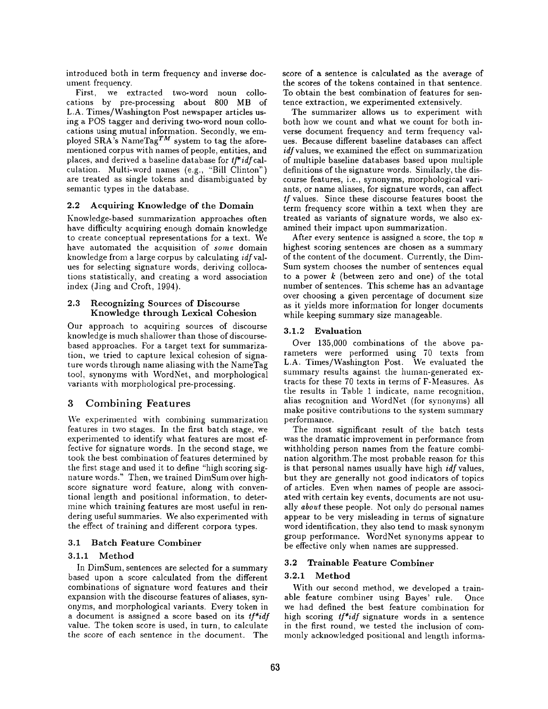introduced both in term frequency and inverse document frequency.

First, we extracted two-word noun collocations by pre-processing about 800 MB of L.A. Times/Washington Post newspaper articles using a POS tagger and deriving two-word noun collocations using mutual information. Secondly, we employed SRA's NameTag<sup>TM</sup> system to tag the aforementioned corpus with names of people, entities, and places, and derived a baseline database for *t]\*idfcal*culation. Multi-word names (e.g., "Bill Clinton") are treated as single tokens and disambiguated by semantic types in the database.

## 2.2 Acquiring Knowledge of the Domain

Knowledge-based summarization approaches often have difficulty acquiring enough domain knowledge to create conceptual representations for a text. We have automated the acquisition of *some* domain knowledge from a large corpus by calculating *idfval*ues for selecting signature words, deriving collocations statistically, and creating a word association index (Jing and Croft, 1994).

#### 2.3 Recognizing Sources of Discourse Knowledge through Lexical Cohesion

Our approach to acquiring sources of discourse knowledge is much shallower than those of discoursebased approaches. For a target text for summarization, we tried to capture lexical cohesion of signature words through name aliasing with the NameTag tool, synonyms with WordNet, and morphological variants with morphological pre-processing.

# 3 Combining Features

We experimented with combining summarization features in two stages. In the first batch stage, we experimented to identify what features are most effective for signature words. In the second stage, we took the best combination of features determined by the first stage and used it to define "high scoring signature words." Then, we trained DimSum over highscore signature word feature, along with conventional length and positional information, to determine which training features are most useful in rendering useful summaries. We also experimented with the effect of training and different corpora types.

# 3.1 Batch Feature Combiner

#### 3.1.1 Method

In DimSum, sentences are selected for a summary based upon a score calculated from the different combinations of signature word features and their expansion with the discourse features of aliases, synonyms, and morphological variants. Every token in a document is assigned a score based on its *tf\*idf*  value. The token score is used, in turn, to calculate the score of each sentence in the document. The

score of a sentence is calculated as the average of the scores of the tokens contained in that sentence. To obtain the best combination of features for sentence extraction, we experimented extensively.

The summarizer allows us to experiment with both how we count and what we count for both inverse document frequency and term frequency values. Because different baseline databases can affect *idfvalues,* we examined the effect on summarization of multiple baseline databases based upon nmltiple definitions of the signature words. Similarly, the discourse features, i.e., synonyms, morphological variants, or name aliases, for signature words, can affect *tf* values. Since these discourse features boost the term frequency score within a text when they are treated as variants of signature words, we also examined their impact upon summarization.

After every sentence is assigned a score, the top  $n$ highest scoring sentences are chosen as a summary of the content of the document. Currently, the Dim-Sum system chooses the number of sentences equal to a power  $k$  (between zero and one) of the total number of sentences. This scheme has an advantage over choosing a given percentage of document size as it yields more information for longer documents while keeping summary size manageable.

## 3.1.2 Evaluation

Over 135,000 combinations of the above parameters were performed using 70 texts from L.A. Times/Washington Post. We evaluated the summary results against the human-generated extracts for these 70 texts in terms of F-Measures. As the results in Table 1 indicate, name recognition, alias recognition and WordNet (for synonyms) all make positive contributions to the system summary performance.

The most significant result of the batch tests was the dramatic improvement in performance from withholding person names from the feature combination algorithm.The most probable reason for this is that personal names usually have high *idf* values, but they are generally not good indicators of topics of articles. Even when names of people are associated with certain key events, documents are not usually *about* these people. Not only do personal names appear to be very misleading in terms of signature word identification, they also tend to mask synonym group performance. WordNet synonyms appear to be effective only when names are suppressed.

#### 3.2 Trainable Feature Combiner

# 3.2.1 Method

With our second method, we developed a trainable feature combiner using Bayes' rule. Once we had defined the best feature combination for high scoring *tf\*idf* signature words in a sentence in the first round, we tested the inclusion of commonly acknowledged positional and length informa-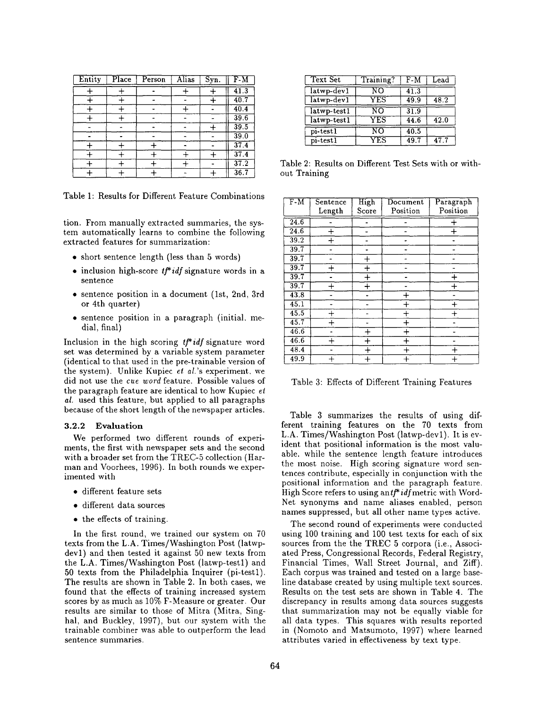| Entity | Place | Person | <b>Alias</b> | Syn. | $F-M$             |
|--------|-------|--------|--------------|------|-------------------|
|        |       |        |              |      | $\overline{41.3}$ |
|        |       |        |              |      | 40.7              |
|        |       |        |              |      | 40.4              |
|        |       |        |              |      | 39.6              |
|        |       |        |              |      | 39.5              |
|        |       |        |              |      | 39.0              |
|        |       |        |              |      | 37.4              |
|        |       |        |              |      | 37.4              |
|        |       |        |              |      | 37.2              |
|        |       |        |              |      | 36.7              |

Table 1: Results for Different Feature Combinations

tion. From manually extracted summaries, the system automatically learns to combine the following extracted features for summarization:

- short sentence length (less than 5 words)
- $\bullet$  inclusion high-score *tf*<sup>\*</sup>*idf* signature words in a sentence
- sentence position in a document (lst, 2nd, 3rd or 4th quarter)
- sentence position in a paragraph (initial. medial, final)

Inclusion in the high scoring *t]\* idf signature* word set was determined by a variable system parameter (identical to that used in the pre-trainable version of the system). Unlike Kupiec *et al.'s* experiment, we did not use the *cue word* feature. Possible values of the paragraph feature are identical to how Kupiec  $et$ *al.* used this feature, but applied to all paragraphs because of the short length of the newspaper articles.

#### **3.2.2 Evaluation**

We performed two different rounds of experiments, the first with newspaper sets and the second with a broader set from the TREC-5 collection (Harman and Voorhees, 1996). In both rounds we experimented with

- different feature sets
- different data sources
- the effects of training.

In the first round, we trained our system on 70 texts from the L.A. Times/Washington Post (latwpdevl) and then tested it against 50 new texts from the L.A. Times/Washington Post (latwp-testl) and 50 texts from the Philadelphia Inquirer (pi-testl). The results are shown in Table 2. In both cases, we found that the effects of training increased system scores by as much as 10% F-Measure or greater. Our results are similar to those of Mitra (Mitra, Singhal, and Buckley, 1997), but our system with the trainable combiner was able to outperform the lead sentence summaries.

| <b>Text Set</b> | Training? | F-M  | Lead |  |
|-----------------|-----------|------|------|--|
| latwp-dev1      | NΟ        | 41.3 |      |  |
| latwp-dev1      | YES       | 49.9 | 48.2 |  |
| latwp-test1     | NΟ        | 31.9 |      |  |
| latwp-test1     | YES       | 44.6 | 42.0 |  |
| pi-test1        | NΟ        | 40.5 |      |  |
| pi-test1        | YES       | 49.7 | 47.7 |  |

Table 2: Results on Different Test Sets with or without Training

| $\overline{F-M}$  | Sentence       | High           | Document | Paragraph |
|-------------------|----------------|----------------|----------|-----------|
|                   | Length         | Score          | Position | Position  |
| 24.6              |                |                |          | ۰         |
| 24.6              | $\overline{+}$ |                |          |           |
| 39.2              | ┿              |                |          |           |
| 39.7              |                |                |          |           |
| 39.7              |                | $^{+}$         |          |           |
| 39.7              |                | $\overline{+}$ |          |           |
| 39.7              |                | $\ddot{}$      |          | ┿         |
| 39.7              |                | $\ddot{}$      |          | $\,+\,$   |
| $\overline{43.8}$ |                |                |          |           |
| 45.1              |                |                |          | ┿         |
| 45.5              |                |                |          |           |
| $\overline{45.7}$ | $\div$         |                | $\div$   |           |
| 46.6              |                | $\,+\,$        |          |           |
| 46.6              |                | $+$            |          |           |
| 48.4              |                | $\ddag$        |          | $\, +$    |
| 49.9              |                | $\overline{+}$ | $\div$   | $^{+}$    |

Table 3: Effects of Different Training Features

Table 3 summarizes the results of using different training features on the 70 texts from L.A. Times/Washington Post (latwp-dev1). It is evident that positional information is the most valuable. while the sentence length feature introduces the most noise. High scoring signature word sentences contribute, especially in conjunction with the positional information and the paragraph feature. High Score refers to using antf<sup>\*</sup>idfmetric with Word-Net synonyms and name aliases enabled, person names suppressed, but all other name types active.

The second round of experiments were conducted using 100 training and 100 test texts for each of six sources from the the TREC 5 corpora (i.e., Associated Press, Congressional Records, Federal Registry, Financial Times, Wall Street Journal, and Ziff). Each corpus was trained and tested on a large baseline database created by using multiple text sources. Results on the test sets are shown in Table 4. The discrepancy in results among data sources suggests that summarization may not be equally viable for all data types. This squares with results reported in (Nomoto and Matsumoto, 1997) where learned attributes varied in effectiveness by text type.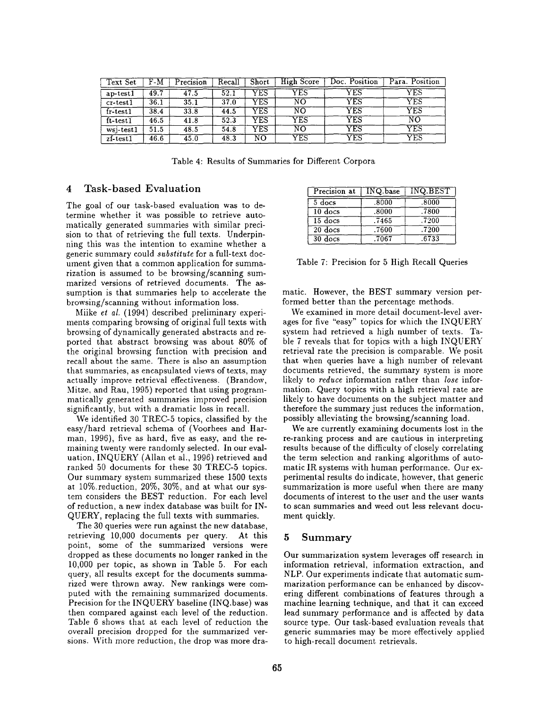| Text Set                      | F-M  | Precision | Recall | Short | High Score             | Doc. Position | Para. Position |
|-------------------------------|------|-----------|--------|-------|------------------------|---------------|----------------|
| ap-test1                      | 49.7 | 47.5      | 52.1   | YES   | YES                    | YES           | YES            |
| $cr-test1$                    | 36.1 | 35.1      | 37.0   | YES   | ΝŌ                     | ${\rm YES}$   | YES            |
| fr-test1                      | 38.4 | 33.8      | 44.5   | YES   | ÑΟ                     | ${\rm YES}$   | YES            |
| ft-test1                      | 46.5 | 41.8      | 52.3   | YES   | ${\rm \overline{YES}}$ | YES           | ΝŌ             |
| $\overline{\text{wsj-test1}}$ | 51.5 | 48.5      | 54.8   | YES   | ΝŌ                     | ${\rm YES}$   | YES            |
| $z$ f-test $1$                | 46.6 | 45.0      | 48.3   | NO    | ${\rm \overline{YES}}$ | YES           | YES            |

Table 4: Results of Summaries for Different Corpora

## 4 Task-based Evaluation

The goal of our task-based evaluation was to determine whether it was possible to retrieve automatically generated summaries with similar precision to that of retrieving the full texts. Underpinning this was the intention to examine whether a generic summary could *substitute* for a full-text document given that a common application for summarization is assumed to be browsing/scanning summarized versions of retrieved documents. The assumption is that summaries help to accelerate the browsing/scanning without information loss.

Miike *et al.* (1994) described preliminary experiments comparing browsing of original full texts with browsing of dynamically generated abstracts and reported that abstract browsing was about 80% of the original browsing function with precision and recall about the same. There is also an assumption that summaries, as encapsulated views of texts, may actually improve retrieval effectiveness. (Brandow, Mitze, and Rau, 1995) reported that using programmatically generated summaries improved precision significantly, but with a dramatic loss in recall.

We identified 30 TREC-5 topics, classified by the easy/hard retrieval schema of (Voorhees and Harman, 1996), five as hard, five as easy, and the remaining twenty were randomly selected. In our evaluation, INQUERY (Allan et al., 1996) retrieved and ranked 50 documents for these 30 TREC-5 topics. Our summary system summarized these 1500 texts at 10%.reduction, 20%, 30%, and at what our system considers the BEST reduction. For each level of reduction, a new index database was built for IN-QUERY, replacing the full texts with summaries.

The 30 queries were run against the new database, retrieving 10,000 documents per query. At this point, some of the summarized versions were dropped as these documents no longer ranked in the 10,000 per topic, as shown in Table 5. For each query, all results except for the documents summarized were thrown away. New rankings were computed with the remaining summarized documents. Precision for the INQUERY baseline (INQ.base) was then compared against each level of the reduction. Table 6 shows that at each level of reduction the overall precision dropped for the summarized versions. With more reduction, the drop was more dra-

| Precision at         | INQ.base | INQ.BEST |  |
|----------------------|----------|----------|--|
| $\overline{5}$ docs  | .8000    | .8000    |  |
| $10$ docs            | .8000    | .7800    |  |
| $15 \overline{docs}$ | .7465    | .7200    |  |
| $20$ docs            | .7600    | .7200    |  |
| $30 \text{ does}$    | .7067    | .6733    |  |

Table 7: Precision for 5 High Recall Queries

matic. However, the BEST summary version performed better than the percentage methods.

We examined in more detail document-level averages for five "easy" topics for which the INQUERY system had retrieved a high number of texts. Table 7 reveals that for topics with a high INQUERY retrieval rate the precision is comparable. We posit that when queries have a high number of relevant documents retrieved, the summary system is more likely to *reduce* information rather than *lose* information. Query topics with a high retrieval rate are likely to have documents on the subject matter and therefore the summary just reduces the information, possibly alleviating the browsing/scanning load.

We are currently examining documents lost in the re-ranking process and are cautious in interpreting results because of the difficulty of closely correlating the term selection and ranking algorithms of automatic IR systems with human performance. Our experimental results do indicate, however, that generic summarization is more useful when there are many documents of interest to the user and the user wants to scan summaries and weed out less relevant document quickly.

## 5 Summary

Our summarization system leverages off research in information retrieval, information extraction, and NLP. Our experiments indicate that automatic summarization performance can be enhanced by discovering different combinations of features through a machine learning technique, and that it can exceed lead summary performance and is affected by data source type. Our task-based evaluation reveals that generic summaries may be more effectively applied to high-recall document, retrievals.